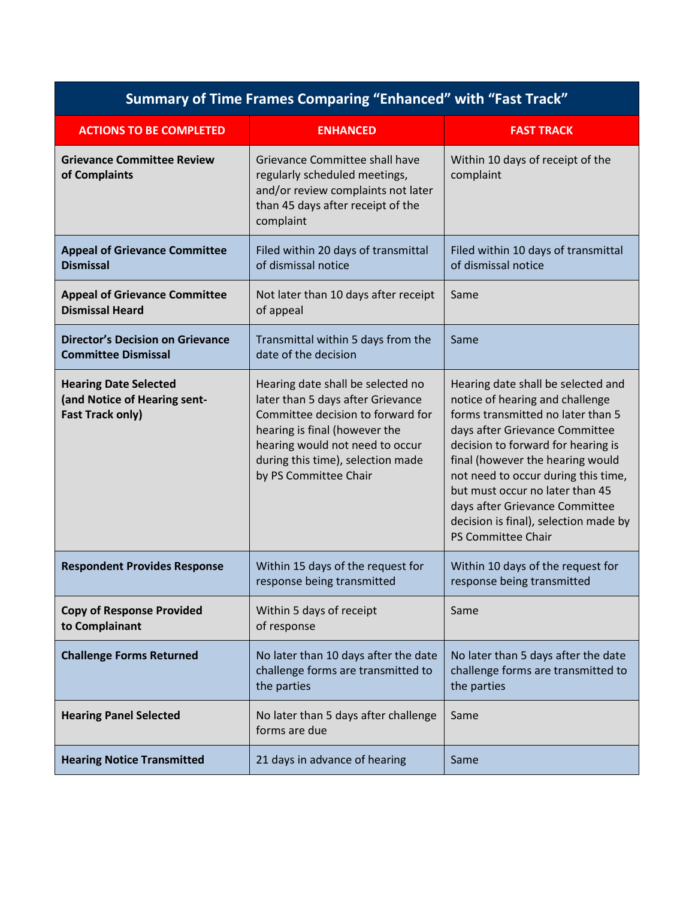| <b>Summary of Time Frames Comparing "Enhanced" with "Fast Track"</b>                    |                                                                                                                                                                                                                                               |                                                                                                                                                                                                                                                                                                                                                                                                   |  |
|-----------------------------------------------------------------------------------------|-----------------------------------------------------------------------------------------------------------------------------------------------------------------------------------------------------------------------------------------------|---------------------------------------------------------------------------------------------------------------------------------------------------------------------------------------------------------------------------------------------------------------------------------------------------------------------------------------------------------------------------------------------------|--|
| <b>ACTIONS TO BE COMPLETED</b>                                                          | <b>ENHANCED</b>                                                                                                                                                                                                                               | <b>FAST TRACK</b>                                                                                                                                                                                                                                                                                                                                                                                 |  |
| <b>Grievance Committee Review</b><br>of Complaints                                      | Grievance Committee shall have<br>regularly scheduled meetings,<br>and/or review complaints not later<br>than 45 days after receipt of the<br>complaint                                                                                       | Within 10 days of receipt of the<br>complaint                                                                                                                                                                                                                                                                                                                                                     |  |
| <b>Appeal of Grievance Committee</b><br><b>Dismissal</b>                                | Filed within 20 days of transmittal<br>of dismissal notice                                                                                                                                                                                    | Filed within 10 days of transmittal<br>of dismissal notice                                                                                                                                                                                                                                                                                                                                        |  |
| <b>Appeal of Grievance Committee</b><br><b>Dismissal Heard</b>                          | Not later than 10 days after receipt<br>of appeal                                                                                                                                                                                             | Same                                                                                                                                                                                                                                                                                                                                                                                              |  |
| <b>Director's Decision on Grievance</b><br><b>Committee Dismissal</b>                   | Transmittal within 5 days from the<br>date of the decision                                                                                                                                                                                    | Same                                                                                                                                                                                                                                                                                                                                                                                              |  |
| <b>Hearing Date Selected</b><br>(and Notice of Hearing sent-<br><b>Fast Track only)</b> | Hearing date shall be selected no<br>later than 5 days after Grievance<br>Committee decision to forward for<br>hearing is final (however the<br>hearing would not need to occur<br>during this time), selection made<br>by PS Committee Chair | Hearing date shall be selected and<br>notice of hearing and challenge<br>forms transmitted no later than 5<br>days after Grievance Committee<br>decision to forward for hearing is<br>final (however the hearing would<br>not need to occur during this time,<br>but must occur no later than 45<br>days after Grievance Committee<br>decision is final), selection made by<br>PS Committee Chair |  |
| <b>Respondent Provides Response</b>                                                     | Within 15 days of the request for<br>response being transmitted                                                                                                                                                                               | Within 10 days of the request for<br>response being transmitted                                                                                                                                                                                                                                                                                                                                   |  |
| <b>Copy of Response Provided</b><br>to Complainant                                      | Within 5 days of receipt<br>of response                                                                                                                                                                                                       | Same                                                                                                                                                                                                                                                                                                                                                                                              |  |
| <b>Challenge Forms Returned</b>                                                         | No later than 10 days after the date<br>challenge forms are transmitted to<br>the parties                                                                                                                                                     | No later than 5 days after the date<br>challenge forms are transmitted to<br>the parties                                                                                                                                                                                                                                                                                                          |  |
| <b>Hearing Panel Selected</b>                                                           | No later than 5 days after challenge<br>forms are due                                                                                                                                                                                         | Same                                                                                                                                                                                                                                                                                                                                                                                              |  |
| <b>Hearing Notice Transmitted</b>                                                       | 21 days in advance of hearing                                                                                                                                                                                                                 | Same                                                                                                                                                                                                                                                                                                                                                                                              |  |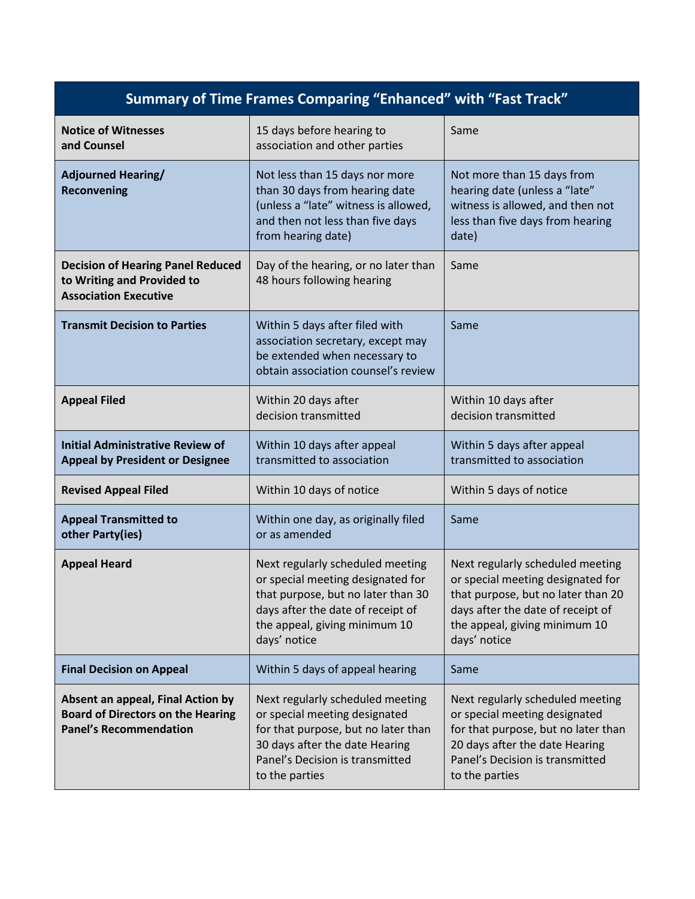| <b>Summary of Time Frames Comparing "Enhanced" with "Fast Track"</b>                                           |                                                                                                                                                                                                   |                                                                                                                                                                                                   |  |  |
|----------------------------------------------------------------------------------------------------------------|---------------------------------------------------------------------------------------------------------------------------------------------------------------------------------------------------|---------------------------------------------------------------------------------------------------------------------------------------------------------------------------------------------------|--|--|
| <b>Notice of Witnesses</b><br>and Counsel                                                                      | 15 days before hearing to<br>association and other parties                                                                                                                                        | Same                                                                                                                                                                                              |  |  |
| <b>Adjourned Hearing/</b><br>Reconvening                                                                       | Not less than 15 days nor more<br>than 30 days from hearing date<br>(unless a "late" witness is allowed,<br>and then not less than five days<br>from hearing date)                                | Not more than 15 days from<br>hearing date (unless a "late"<br>witness is allowed, and then not<br>less than five days from hearing<br>date)                                                      |  |  |
| <b>Decision of Hearing Panel Reduced</b><br>to Writing and Provided to<br><b>Association Executive</b>         | Day of the hearing, or no later than<br>48 hours following hearing                                                                                                                                | Same                                                                                                                                                                                              |  |  |
| <b>Transmit Decision to Parties</b>                                                                            | Within 5 days after filed with<br>association secretary, except may<br>be extended when necessary to<br>obtain association counsel's review                                                       | Same                                                                                                                                                                                              |  |  |
| <b>Appeal Filed</b>                                                                                            | Within 20 days after<br>decision transmitted                                                                                                                                                      | Within 10 days after<br>decision transmitted                                                                                                                                                      |  |  |
| <b>Initial Administrative Review of</b><br><b>Appeal by President or Designee</b>                              | Within 10 days after appeal<br>transmitted to association                                                                                                                                         | Within 5 days after appeal<br>transmitted to association                                                                                                                                          |  |  |
| <b>Revised Appeal Filed</b>                                                                                    | Within 10 days of notice                                                                                                                                                                          | Within 5 days of notice                                                                                                                                                                           |  |  |
| <b>Appeal Transmitted to</b><br>other Party(ies)                                                               | Within one day, as originally filed<br>or as amended                                                                                                                                              | Same                                                                                                                                                                                              |  |  |
| <b>Appeal Heard</b>                                                                                            | Next regularly scheduled meeting<br>or special meeting designated for<br>that purpose, but no later than 30<br>days after the date of receipt of<br>the appeal, giving minimum 10<br>days' notice | Next regularly scheduled meeting<br>or special meeting designated for<br>that purpose, but no later than 20<br>days after the date of receipt of<br>the appeal, giving minimum 10<br>days' notice |  |  |
| <b>Final Decision on Appeal</b>                                                                                | Within 5 days of appeal hearing                                                                                                                                                                   | Same                                                                                                                                                                                              |  |  |
| Absent an appeal, Final Action by<br><b>Board of Directors on the Hearing</b><br><b>Panel's Recommendation</b> | Next regularly scheduled meeting<br>or special meeting designated<br>for that purpose, but no later than<br>30 days after the date Hearing<br>Panel's Decision is transmitted<br>to the parties   | Next regularly scheduled meeting<br>or special meeting designated<br>for that purpose, but no later than<br>20 days after the date Hearing<br>Panel's Decision is transmitted<br>to the parties   |  |  |